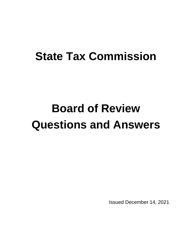# **State Tax Commission**

# **Board of Review Questions and Answers**

Issued December 14, 2021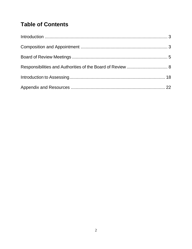# **Table of Contents**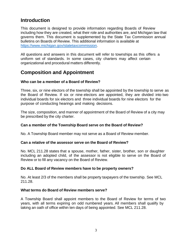# <span id="page-2-0"></span>**Introduction**

This document is designed to provide information regarding Boards of Review including how they are created, what their role and authorities are, and Michigan law that governs them. This document is supplemented by the State Tax Commission annual bulletins on Boards of Review. This additional information is available at [https://www.michigan.gov/statetaxcommission.](https://www.michigan.gov/statetaxcommission)

All questions and answers in this document will refer to townships as this offers a uniform set of standards. In some cases, city charters may affect certain organizational and procedural matters differently.

# <span id="page-2-1"></span>**Composition and Appointment**

## **Who can be a member of a Board of Review?**

Three, six, or nine electors of the township shall be appointed by the township to serve as the Board of Review. If six or nine electors are appointed, they are divided into two individual boards for six electors and three individual boards for nine electors for the purpose of conducting hearings and making decisions.

The size, composition, and manner of appointment of the Board of Review of a city may be prescribed by the city charter.

## **Can a member of the Township Board serve on the Board of Review?**

No. A Township Board member may not serve as a Board of Review member.

## **Can a relative of the assessor serve on the Board of Review?**

No. MCL 211.28 states that a spouse, mother, father, sister, brother, son or daughter including an adopted child, of the assessor is not eligible to serve on the Board of Review or to fill any vacancy on the Board of Review.

## **Do ALL Board of Review members have to be property owners?**

No. At least 2/3 of the members shall be property taxpayers of the township. See MCL 211.28.

## **What terms do Board of Review members serve?**

A Township Board shall appoint members to the Board of Review for terms of two years, with all terms expiring on odd numbered years. All members shall qualify by taking an oath of office within ten days of being appointed. See MCL 211.28.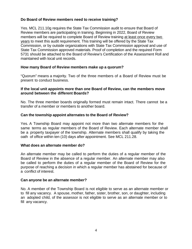## **Do Board of Review members need to receive training?**

Yes. MCL 211.10g requires the State Tax Commission audit to ensure that Board of Review members are participating in training. Beginning in 2022, Board of Review members will be required to complete Board of Review training at least once every two years to meet this audit requirement. This training will be offered by the State Tax Commission, or by outside organizations with State Tax Commission approval and use of State Tax Commission approved materials. Proof of completion and the required Form 5731 should be attached to the Board of Review's Certification of the Assessment Roll and maintained with local unit records.

## **How many Board of Review members make up a quorum?**

"Quorum" means a majority. Two of the three members of a Board of Review must be present to conduct business.

#### **If the local unit appoints more than one Board of Review, can the members move around between the different Boards?**

No. The three member boards originally formed must remain intact. There cannot be a transfer of a member or members to another board.

## **Can the township appoint alternates to the Board of Review?**

Yes. A Township Board may appoint not more than two alternate members for the same terms as regular members of the Board of Review. Each alternate member shall be a property taxpayer of the township. Alternate members shall qualify by taking the oath of office within ten (10) days after appointment. See MCL 211.28.

## **What does an alternate member do?**

An alternate member may be called to perform the duties of a regular member of the Board of Review in the absence of a regular member. An alternate member may also be called to perform the duties of a regular member of the Board of Review for the purpose of reaching a decision in which a regular member has abstained for because of a conflict of interest.

#### **Can anyone be an alternate member?**

No. A member of the Township Board is not eligible to serve as an alternate member or to fill any vacancy. A spouse, mother, father, sister, brother, son, or daughter, including an adopted child, of the assessor is not eligible to serve as an alternate member or to fill any vacancy.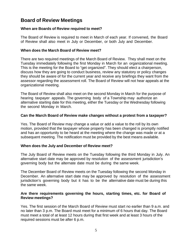# <span id="page-4-0"></span>**Board of Review Meetings**

## **When are Boards of Review required to meet?**

The Board of Review is required to meet in March of each year. If convened, the Board of Review shall also meet in July or December, or both July and December.

## **When does the March Board of Review meet?**

There are two required meetings of the March Board of Review. They shall meet on the Tuesday immediately following the first Monday in March for an organizational meeting. This is the meeting for the Board to "get organized". They should elect a chairperson, discuss how they are going to conduct business, review any statutory or policy changes they should be aware of for the current year and receive any briefings they want from the assessor regarding the assessment roll. The Board of Review will not hear appeals at the organizational meeting.

The Board of Review shall also meet on the second Monday in March for the purpose of hearing taxpayer appeals. The governing body of a Township may authorize an alternative starting date for this meeting, either the Tuesday or the Wednesday following the second Monday in March.

## **Can the March Board of Review make changes without a protest from a taxpayer?**

Yes. The Board of Review may change a value or add a value to the roll by its own motion, provided that the taxpayer whose property has been changed is promptly notified and has an opportunity to be heard at the meeting where the change was made or at a subsequent meeting. The notification must be provided by the best means available.

## **When does the July and December of Review meet?**

The July Board of Review meets on the Tuesday following the third Monday in July. An alternative start date may be approved by resolution of the assessment jurisdiction's governing body but the alternate date must be during the same week.

The December Board of Review meets on the Tuesday following the second Monday in December. An alternative start date may be approved by resolution of the assessment jurisdiction's governing body but it has to be the alternative date must be during this the same week.

## **Are there requirements governing the hours, starting times, etc. for Board of Review meetings?**

Yes. The first session of the March Board of Review must start no earlier than 9 a.m. and no later than 3 p.m. The Board must meet for a minimum of 6 hours that day. The Board must meet a total of at least 12 hours during that first week and at least 3 hours of the required sessions must be after 6 p.m.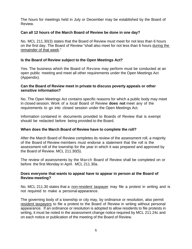The hours for meetings held in July or December may be established by the Board of Review.

## **Can all 12 hours of the March Board of Review be done in one day?**

No. MCL 211.30(3) states that the Board of Review must meet for not less than 6 hours on the first day. The Board of Review "shall also meet for not less than 6 hours during the remainder of that week."

## **Is the Board of Review subject to the Open Meetings Act?**

Yes. The business which the Board of Review may perform must be conducted at an open public meeting and meet all other requirements under the Open Meetings Act (Appendix).

#### **Can the Board of Review meet in private to discuss poverty appeals or other sensitive information?**

No. The Open Meetings Act contains specific reasons for which a public body may meet in closed session. Work of a local Board of Review **does not** meet any of the requirements to go into closed session under the Open Meetings Act.

Information contained in documents provided to Boards of Review that is exempt should be redacted before being provided to the Board.

## **When does the March Board of Review have to complete the roll?**

After the March Board of Review completes its review of the assessment roll, a majority of the Board of Review members must endorse a statement that the roll is the assessment roll of the township for the year in which it was prepared and approved by the Board of Review. MCL 211.30(5).

The review of assessments by the March Board of Review shall be completed on or before the first Monday in April. MCL 211.30a.

## **Does everyone that wants to appeal have to appear in person at the Board of Review meeting?**

No. MCL 211.30 states that a non-resident taxpayer may file a protest in writing and is not required to make a personal appearance.

The governing body of a township or city may, by ordinance or resolution, also permit resident taxpayers to file a protest to the Board of Review in writing without personal appearance. If an ordinance or resolution is adopted to allow residents to file protests in writing, it must be noted in the assessment change notice required by MCL 211.24c and on each notice or publication of the meeting of the Board of Review.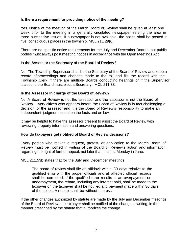## **Is there a requirement for providing notice of the meeting?**

Yes. Notice of the meeting of the March Board of Review shall be given at least one week prior to the meeting in a generally circulated newspaper serving the area in three successive issues. If a newspaper is not available, the notice shall be posted in five conspicuous places in the township. MCL 211.29(6).

There are no specific notice requirements for the July and December Boards, but public bodies must always post meeting notices in accordance with the Open Meetings Act.

#### **Is the Assessor the Secretary of the Board of Review?**

No. The Township Supervisor shall be the Secretary of the Board of Review and keep a record of proceedings and changes made to the roll and file the record with the Township Clerk. If there are multiple Boards conducting hearings or if the Supervisor is absent, the Board must elect a Secretary. MCL 211.33.

#### **Is the Assessor in charge of the Board of Review?**

No. A Board of Review is not the assessor and the assessor is not the Board of Review. Every citizen who appears before the Board of Review is in fact challenging a decision of the assessor and it is the Board of Review's responsibility to make an independent judgment based on the facts and on law.

It may be helpful to have the assessor present to assist the Board of Review with reviewing property information and answering questions.

## **How do taxpayers get notified of Board of Review decisions?**

Every person who makes a request, protest, or application to the March Board of Review must be notified in writing of the Board of Review's action and information regarding the right of further appeal, not later than the first Monday in June.

#### MCL 211.53b states that for the July and December meetings

The board of review shall file an affidavit within 30 days relative to the qualified error with the proper officials and all affected official records shall be corrected. If the qualified error results in an overpayment or underpayment, the rebate, including any interest paid, shall be made to the taxpayer or the taxpayer shall be notified and payment made within 30 days of the notice. A rebate shall be without interest.

If the other changes authorized by statute are made by the July and December meetings of the Board of Review, the taxpayer shall be notified of the change in writing, in the manner prescribed by the statute that authorizes the change.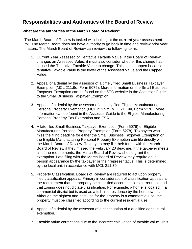# <span id="page-7-0"></span>**Responsibilities and Authorities of the Board of Review**

## **What are the authorities of the March Board of Review?**

The March Board of Review is tasked with looking at the **current year** assessment roll. The March Board does not have authority to go back in time and review prior year matters. The March Board of Review can review the following items:

- 1. Current Year Assessed or Tentative Taxable Value. If the Board of Review changes an Assessed Value, it must also consider whether this change has caused the Tentative Taxable Value to change. This could happen because tentative Taxable Value is the lower of the Assessed Value and the Capped Value.
- 2. Appeal of a denial by the assessor of a timely filed Small Business Taxpayer Exemption (MCL 211.9o, Form 5076). More information on the Small Business Taxpayer Exemption can be found on the STC website in the Assessor Guide to the Small Business Taxpayer Exemption.
- 3. Appeal of a denial by the assessor of a timely filed Eligible Manufacturing Personal Property Exemption (MCL 211.9m, MCL 211.9n, Form 5278). More information can be found in the Assessor Guide to the Eligible Manufacturing Personal Property Tax Exemption and ESA.
- 4. A late filed Small Business Taxpayer Exemption (Form 5076) or Eligible Manufacturing Personal Property Exemption (Form 5278). Taxpayers who miss the filing deadline for either the Small Business Taxpayer Exemption or the Eligible Manufacturing Personal Property Exemption can file directly with the March Board of Review. Taxpayers may file their forms with the March Board of Review if they missed the February 20 deadline. If the taxpayer meets all of the requirements, the March Board of Review should grant the exemption. Late filing with the March Board of Review may require an inperson appearance by the taxpayer or their representative. This is determined by the local unit in accordance with MCL 211.30.
- 5. Property Classification. Boards of Review are required to act upon properly filed classification appeals. Primary in consideration of classification appeals is the requirement that the property be classified according to its current use and that zoning does not dictate classification. For example, a home is located in a commercial district but is used as a full-time residence by the homeowner. Although the highest and best use for the property is a commercial use, the property must be classified according to the current residential use.
- 6. Appeal of a denial by the assessor of a continuation of a qualified agricultural exemption.
- 7. Taxable value corrections due to the incorrect calculation of taxable value. This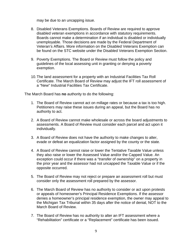may be due to an uncapping issue.

- 8. Disabled Veterans Exemptions. Boards of Review are required to approve disabled veteran exemptions in accordance with statutory requirements. Boards cannot make a determination if an individual is disabled or individually unemployable. Those decisions are made by the Federal Department of Veteran's Affairs. More information on the Disabled Veterans Exemption can be found on the STC website under the Disabled Veterans Exemption Section.
- 9. Poverty Exemptions. The Board or Review must follow the policy and guidelines of the local assessing unit in granting or denying a poverty exemption.
- 10.The land assessment for a property with an Industrial Facilities Tax Roll Certificate. The March Board of Review may adjust the IFT roll assessment of a "New" Industrial Facilities Tax Certificate.

The March Board has **no** authority to do the following:

- 1. The Board of Review cannot act on millage rates or because a tax is too high. Petitioners may raise these issues during an appeal, but the Board has no authority to act.
- 2. A Board of Review cannot make wholesale or across the board adjustments to assessments. A Board of Review must consider each parcel and act upon it individually.
- 3. A Board of Review does not have the authority to make changes to alter, evade or defeat an equalization factor assigned by the county or the state.
- 4. A Board of Review cannot raise or lower the Tentative Taxable Value unless they also raise or lower the Assessed Value and/or the Capped Value. An exception could occur if there was a "transfer of ownership" on a property in the prior year and the assessor had not uncapped the Taxable Value or if the opposite occurred.
- 5. The Board of Review may not reject or prepare an assessment roll but must consider only the assessment roll prepared by the assessor.
- 6. The March Board of Review has no authority to consider or act upon protests or appeals of homeowner's Principal Residence Exemptions. If the assessor denies a homeowner's principal residence exemption, the owner may appeal to the Michigan Tax Tribunal within 35 days after the notice of denial, NOT to the March Board of Review.
- 7. The Board of Review has no authority to alter an IFT assessment where a "Rehabilitation" certificate or a "Replacement" certificate has been issued.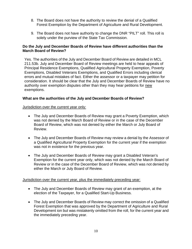- 8. The Board does not have the authority to review the denial of a Qualified Forest Exemption by the Department of Agriculture and Rural Development.
- 9. The Board does not have authority to change the DNR "PILT" roll. This roll is solely under the purview of the State Tax Commission.

## **Do the July and December Boards of Review have different authorities than the March Board of Review?**

Yes. The authorities of the July and December Board of Review are detailed in MCL 211.53b. July and December Board of Review meetings are held to hear appeals of Principal Residence Exemptions, Qualified Agricultural Property Exemption, Poverty Exemptions, Disabled Veterans Exemptions, and Qualified Errors including clerical errors and mutual mistakes of fact. Either the assessor or a taxpayer may petition for consideration. It should be clear that the July and December Boards of Review have no authority over exemption disputes other than they may hear petitions for new exemptions.

## **What are the authorities of the July and December Boards of Review?**

## Jurisdiction over the current year only:

- The July and December Boards of Review may grant a Poverty Exemption, which was not denied by the March Board of Review or in the case of the December Board of Review, which was not denied by either the March or July Board of Review.
- The July and December Boards of Review may review a denial by the Assessor of a Qualified Agricultural Property Exemption for the current year if the exemption was not in existence for the previous year.
- The July and December Boards of Review may grant a Disabled Veteran's Exemption for the current year only, which was not denied by the March Board of Review or in the case of the December Board of Review, which was not denied by either the March or July Board of Review.

## Jurisdiction over the current year, plus the immediately preceding year:

- The July and December Boards of Review may grant of an exemption, at the election of the Taxpayer, for a Qualified Start-Up Business.
- The July and December Boards of Review may correct the omission of a Qualified Forest Exemption that was approved by the Department of Agriculture and Rural Development ion but was mistakenly omitted from the roll, for the current year and the immediately preceding year.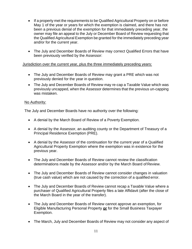- If a property met the requirements to be Qualified Agricultural Property on or before May 1 of the year or years for which the exemption is claimed, and there has not been a previous denial of the exemption for that immediately preceding year, the owner may file an appeal to the July or December Board of Review requesting that the Qualified Agricultural Exemption be granted for the immediately preceding year and/or for the current year.
- The July and December Boards of Review may correct Qualified Errors that have been previously verified by the Assessor:

## Jurisdiction over the current year, plus the three immediately preceding years:

- The July and December Boards of Review may grant a PRE which was not previously denied for the year in question.
- The July and December Boards of Review may re-cap a Taxable Value which was previously uncapped, when the Assessor determines that the previous un-capping was mistaken.

## No Authority:

The July and December Boards have no authority over the following:

- A denial by the March Board of Review of a Poverty Exemption.
- A denial by the Assessor, an auditing county or the Department of Treasury of a Principal Residence Exemption (PRE).
- A denial by the Assessor of the continuation for the current year of a Qualified Agricultural Property Exemption where the exemption was in existence for the previous year.
- The July and December Boards of Review cannot review the classification determinations made by the Assessor and/or by the March Board of Review.
- The July and December Boards of Review cannot consider changes in valuation (true cash value) which are not caused by the correction of a qualified error.
- The July and December Boards of Review cannot recap a Taxable Value where a purchaser of Qualified Agricultural Property files a late Affidavit (after the close of the March Board in the year of the transfer).
- The July and December Boards of Review cannot approve an exemption, for Eligible Manufacturing Personal Property **or** for the Small Business Taxpayer Exemption.
- The March, July and December Boards of Review may not consider any aspect of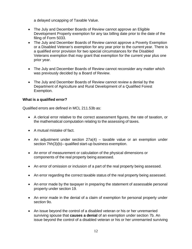a delayed uncapping of Taxable Value.

- The July and December Boards of Review cannot approve an Eligible Development Property exemption for any tax billing date prior to the date of the filing of Form 5033.
- The July and December Boards of Review cannot approve a Poverty Exemption or a Disabled Veteran's exemption for any year prior to the current year. There is a qualified error provision for two special circumstances for the Disabled Veterans exemption that may grant that exemption for the current year plus one prior year.
- The July and December Boards of Review cannot reconsider any matter which was previously decided by a Board of Review.
- The July and December Boards of Review cannot review a denial by the Department of Agriculture and Rural Development of a Qualified Forest Exemption.

## **What is a qualified error?**

Qualified errors are defined in MCL 211.53b as:

- A clerical error relative to the correct assessment figures, the rate of taxation, or the mathematical computation relating to the assessing of taxes.
- A mutual mistake of fact.
- An adjustment under section 27a(4) taxable value or an exemption under section 7hh(3)(b)– qualified start-up business exemption.
- An error of measurement or calculation of the physical dimensions or components of the real property being assessed.
- An error of omission or inclusion of a part of the real property being assessed.
- An error regarding the correct taxable status of the real property being assessed.
- An error made by the taxpayer in preparing the statement of assessable personal property under section 19.
- An error made in the denial of a claim of exemption for personal property under section 9o.
- An issue beyond the control of a disabled veteran or his or her unremarried surviving spouse that **causes a denial** of an exemption under section 7b. An issue beyond the control of a disabled veteran or his or her unremarried surviving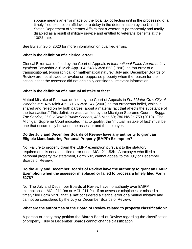spouse means an error made by the local tax collecting unit in the processing of a timely filed exemption affidavit or a delay in the determination by the United States Department of Veterans Affairs that a veteran is permanently and totally disabled as a result of military service and entitled to veterans' benefits at the 100% rate.

See Bulletin 20 of 2020 for more information on qualified errors.

## **What is the definition of a clerical error?**

Clerical Error was defined by the Court of Appeals *in International Place Apartments v Ypsilanti Township* 216 Mich App 104; 548 NW2d 668 (1996), as "an error of a transpositional, typographical, or mathematical nature." July and December Boards of Review are not allowed to revalue or reappraise property when the reason for the action is that the assessor did not originally consider all relevant information.

## **What is the definition of a mutual mistake of fact?**

Mutual Mistake of Fact was defined by the Court of Appeals in *Ford Motor Co v City of Woodhaven*, 475 Mich 425; 716 NW2d 247 (2006) as "an erroneous belief, which is shared and relied on by both parties, about a material fact that affects the substance of the transaction." This definition was clarified by the Michigan Supreme Court in *Briggs Tax Service, LLC v Detroit Public Schools*, 485 Mich 69; 780 NW2d 753 (2010). The Michigan Supreme Court indicated that to qualify, the "mutual mistake of fact" must be one that occurs only between the assessor and the taxpayer.

## **Do the July and December Boards of Review have any authority to grant an Eligible Manufacturing Personal Property (EMPP) Exemption?**

No. Failure to properly claim the EMPP exemption pursuant to the statutory requirements is not a qualified error under MCL 211.53b. A taxpayer who filed a personal property tax statement, Form 632, cannot appeal to the July or December Boards of Review.

#### **Do the July and December Boards of Review have the authority to grant an EMPP Exemption when the assessor misplaced or failed to process a timely filed Form 5278?**

No. The July and December Boards of Review have no authority over EMPP exemptions in MCL 211.9m or MCL 211.9n. If an assessor misplaces or missed a timely filed Form 5278, that **is not** considered a clerical error or a mutual mistake and cannot be considered by the July or December Boards of Review.

## **What are the authorities of the Board of Review related to property classification?**

A person or entity may petition the **March** Board of Review regarding the classification of property. July or December Boards cannot change classification.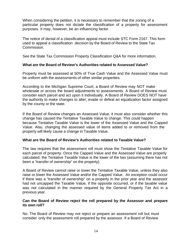When considering the petition, it is necessary to remember that the zoning of a particular property does not dictate the classification of a property for assessment purposes. It may, however, be an influencing factor.

The notice of denial of a classification appeal must include STC Form 2167. This form used to appeal a classification decision by the Board of Review to the State Tax Commission.

See the State Tax Commission Property Classification Q&A for more information.

## **What are the Board of Review's Authorities related to Assessed Value?**

Property must be assessed at 50% of True Cash Value and the Assessed Value must be uniform with the assessments of other similar properties.

According to the Michigan Supreme Court, a Board of Review may NOT make wholesale or across the board adjustments to assessments. A Board of Review must consider each parcel and act upon it individually. A Board of Review DOES NOT have the authority to make changes to alter, evade or defeat an equalization factor assigned by the county or the state.

If the Board of Review changes an Assessed Value, it must also consider whether this change has caused the Tentative Taxable Value to change. This could happen because Tentative Taxable Value is the lower of the Assessed Value and the Capped Value. Also, changing the assessed value of items added to or removed from the property will likely cause a change in Taxable Value.

## **What are the Board of Review's Authorities related to Taxable Value?**

The law requires that the assessment roll must show the Tentative Taxable Value for each parcel of property. Once the Capped Value and the Assessed Value are properly calculated, the Tentative Taxable Value is the lower of the two (assuming there has not been a "transfer of ownership" on the property).

A Board of Review cannot raise or lower the Tentative Taxable Value, unless they also raise or lower the Assessed Value and/or the Capped Value. An exception could occur if there was a "transfer of ownership" on a property in the prior year and the assessor had not uncapped the Taxable Value, if the opposite occurred, or if the taxable value was not calculated in the manner required by the General Property Tax Act in a previous year.

## **Can the Board of Review reject the roll prepared by the Assessor and prepare its own roll?**

No. The Board of Review may not reject or prepare an assessment roll but must consider only the assessment roll prepared by the assessor. If a Board of Review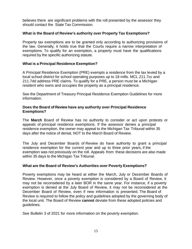believes there are significant problems with the roll presented by the assessor they should contact the State Tax Commission.

## **What is the Board of Review's authority over Property Tax Exemptions?**

Property tax exemptions are to be granted only according to authorizing provisions of the law. Generally, it holds true that the Courts require a narrow interpretation of exemptions. To qualify for an exemption, a property must have the qualifications required by the specific authorizing statute.

## **What is a Principal Residence Exemption?**

A Principal Residence Exemption (PRE) exempts a residence from the tax levied by a local school district for school operating purposes up to 18 mills. MCL 211.7cc and 211.7dd address PRE claims. To qualify for a PRE, a person must be a Michigan resident who owns and occupies the property as a principal residence.

See the Department of Treasury Principal Residence Exemption Guidelines for more information.

## **Does the Board of Review have any authority over Principal Residence Exemptions?**

The **March** Board of Review has no authority to consider or act upon protests or appeals of principal residence exemptions. If the assessor denies a principal residence exemption, the owner may appeal to the Michigan Tax Tribunal within 35 days after the notice of denial, NOT to the March Board of Review.

The July and December Boards of Review do have authority to grant a principal residence exemption for the current year and up to three prior years, if the exemption was not previously on the roll. Appeals from these decisions are also made within 35 days to the Michigan Tax Tribunal.

## **What are the Board of Review's Authorities over Poverty Exemptions?**

Poverty exemptions may be heard at either the March, July or December Boards of Review. However, once a poverty exemption is considered by a Board of Review, it may not be reconsidered by a later BOR in the same year. For instance, if a poverty exemption is denied at the July Board of Review, it may not be reconsidered at the December Board of Review, even if new information is presented. The Board of Review is required to follow the policy and guidelines adopted by the governing body of the local unit. The Board of Review **cannot** deviate from these adopted policies and guidelines.

See Bulletin 3 of 2021 for more information on the poverty exemption.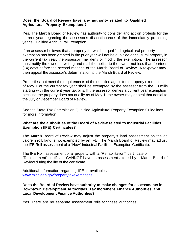#### **Does the Board of Review have any authority related to Qualified Agricultural Property Exemptions?**

Yes. The **March** Board of Review has authority to consider and act on protests for the current year regarding the assessor's discontinuance of the immediately preceding year's Qualified Agricultural Exemption.

If an assessor believes that a property for which a qualified agricultural property exemption has been granted in the prior year will not be qualified agricultural property in the current tax year, the assessor may deny or modify the exemption. The assessor must notify the owner in writing and mail the notice to the owner not less than fourteen (14) days before the second meeting of the March Board of Review. A taxpayer may then appeal the assessor's determination to the March Board of Review.

Properties that meet the requirements of the qualified agricultural property exemption as of May 1 of the current tax year shall be exempted by the assessor from the 18 mills starting with the current year tax bills. If the assessor denies a current year exemption because the property does not qualify as of May 1, the owner may appeal that denial to the July or December Board of Review.

See the State Tax Commission Qualified Agricultural Property Exemption Guidelines for more information.

## **What are the authorities of the Board of Review related to Industrial Facilities Exemption (IFE) Certificates?**

The **March** Board of Review may adjust the property's land assessment on the ad valorem roll; land is not exempted by an IFE. The March Board of Review may adjust the IFE Roll assessment of a "New" Industrial Facilities Exemption Certificate.

The IFE Roll assessment of a property with a "Rehabilitation" certificate or "Replacement" certificate CANNOT have its assessment altered by a March Board of Review during the life of the certificate.

Additional information regarding IFE is available at: [www.michigan.gov/propertytaxexemptions.](http://www.michigan.gov/propertytaxexemptions)

#### **Does the Board of Review have authority to make changes for assessments in Downtown Development Authorities, Tax Increment Finance Authorities, and Local Development Finance Authorities?**

Yes. There are no separate assessment rolls for these authorities.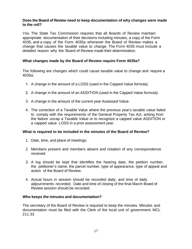#### **Does the Board of Review need to keep documentation of why changes were made to the roll?**

Yes. The State Tax Commission requires that all Boards of Review maintain appropriate documentation of their decisions including minutes, a copy of the Form 4035, and a copy of the Form 4035a whenever the Board of Review makes a change that causes the taxable value to change. The Form 4035 must include a detailed reason why the Board of Review made their determination.

## **What changes made by the Board of Review require Form 4035a?**

The following are changes which could cause taxable value to change and require a 4035a:

- 1. A change in the amount of a LOSS (used in the Capped Value formula).
- 2. A change in the amount of an ADDITION (used in the Capped Value formula).
- 3. A change in the amount of the current year Assessed Value.
- 4. The correction of a Taxable Value where the previous year's taxable value failed to comply with the requirements of the General Property Tax Act, arising from the failure uncap a Taxable Value or to recognize a capped value ADDITION or a capped value LOSS in a prior assessment year.

## **What is required to be included in the minutes of the Board of Review?**

- 1. Date, time, and place of meetings.
- 2. Members present and members absent and notation of any correspondence received.
- 3. A log should be kept that identifies the hearing date, the petition number, the petitioner's name, the parcel number, type of appearance, type of appeal and action of the Board of Review.
- 4. Actual hours in session should be recorded daily, and time of daily adjournments recorded. Date and time of closing of the final March Board of Review session should be recorded.

#### **Who keeps the minutes and documentation?**

The secretary of the Board of Review is required to keep the minutes. Minutes and documentation must be filed with the Clerk of the local unit of government. MCL 211.33.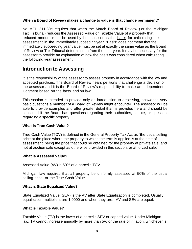## **When a Board of Review makes a change to value is that change permanent?**

No. MCL 211.30c requires that when the March Board of Review ( or the Michigan Tax Tribunal) reduces the Assessed Value or Taxable Value of a property that reduced amount must be used by the assessor as the basis for calculating the assessment in the immediately succeeding year. "Basis" does not mean that the immediately succeeding year value must be set at exactly the same value as the Board of Review or Tax Tribunal determination from the prior year. It may be necessary for the assessor to provide an explanation of how the basis was considered when calculating the following year assessment.

# <span id="page-17-0"></span>**Introduction to Assessing**

It is the responsibility of the assessor to assess property in accordance with the law and accepted practices. The Board of Review hears petitions that challenge a decision of the assessor and it is the Board of Review's responsibility to make an independent judgment based on the facts and on law.

This section is intended to provide only an introduction to assessing, answering very basic questions a member of a Board of Review might encounter. The assessor will be able to provide examples and offer greater detail than is provided here and should be consulted if the Board has questions regarding their authorities, statute, or questions regarding a specific property.

## **What is True Cash Value?**

True Cash Value (TCV) is defined in the General Property Tax Act as "the usual selling price at the place where the property to which the term is applied is at the time of assessment, being the price that could be obtained for the property at private sale, and not at auction sale except as otherwise provided in this section, or at forced sale."

## **What is Assessed Value?**

Assessed Value (AV) is 50% of a parcel's TCV.

Michigan law requires that all property be uniformly assessed at 50% of the usual selling price, or the True Cash Value.

## **What is State Equalized Value?**

State Equalized Value (SEV) is the AV after State Equalization is completed. Usually, equalization multipliers are 1.0000 and when they are, AV and SEV are equal.

## **What is Taxable Value?**

Taxable Value (TV) is the lower of a parcel's SEV or capped value. Under Michigan law, TV cannot increase annually by more than 5% or the rate of inflation, whichever is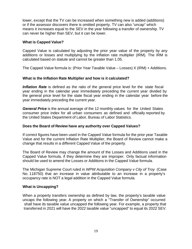lower, except that the TV can be increased when something new is added (additions) or if the assessor discovers there is omitted property. TV can also "uncap" which means it increases equal to the SEV in the year following a transfer of ownership. TV can never be higher than SEV, but it can be lower.

#### **What is Capped Value?**

Capped Value is calculated by adjusting the prior year value of the property by any additions or losses and multiplying by the inflation rate multiplier (IRM). The IRM is calculated based on statute and cannot be greater than 1.05.

The Capped Value formula is: (Prior Year Taxable Value – Losses) X (IRM) + Additions.

## **What is the Inflation Rate Multiplier and how is it calculated?**

*Inflation Rate* is defined as the ratio of the general price level for the state fiscal year ending in the calendar year immediately preceding the current year divided by the general price level for the state fiscal year ending in the calendar year before the year immediately preceding the current year.

*General Price* is the annual average of the 12 monthly values for the United States consumer price index for all urban consumers as defined and officially reported by the United States Department of Labor, Bureau of Labor Statistics.

#### **Does the Board of Review have any authority over Capped Values?**

If correct figures have been used in the Capped Value formula for the prior year Taxable Value and for the current Inflation Rate Multiplier, the Board of Review cannot make a change that results in a different Capped Value of the property.

The Board of Review may change the amount of the Losses and Additions used in the Capped Value formula, if they determine they are improper. Only factual information should be used to amend the Losses or Additions in the Capped Value formula.

The Michigan Supreme Court ruled in *WPW Acquisition Company v City of Troy* (Case No. 118750) that an increase in value attributable to an increase in a property's occupancy rate is NOT a legal addition in the Capped Value formula.

## **What is Uncapping?**

When a property transfers ownership as defined by law, the property's taxable value uncaps the following year. A property on which a "Transfer of Ownership" occurred shall have its taxable value uncapped the following year. For example, a property that transferred in 2021 will have the 2022 taxable value "uncapped" to equal its 2022 SEV.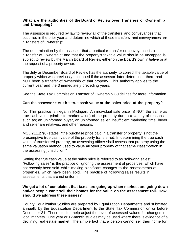## **What are the authorities of the Board of Review over Transfers of Ownership and Uncapping?**

The assessor is required by law to review all of the transfers and conveyances that occurred in the prior year and determine which of these transfers and conveyances are "Transfers of Ownership".

The determination by the assessor that a particular transfer or conveyance is a "Transfer of Ownership" and that the property's taxable value should be uncapped is subject to review by the March Board of Review either on the Board's own initiative or at the request of a property owner.

The July or December Board of Review has the authority to correct the taxable value of property which was previously uncapped if the assessor later determines there had NOT been a transfer of ownership of that property. This authority applies to the current year and the 3 immediately preceding years.

See the State Tax Commission Transfer of Ownership Guidelines for more information.

## **Can the assessor set the true cash value at the sales price of the property?**

No. This practice is illegal in Michigan. An individual sale price IS NOT the same as true cash value (similar to market value) of the property due to a variety of reasons, such as; an uninformed buyer, an uninformed seller, insufficient marketing time, buyer and seller are relatives, and other reasons.

MCL 211.27(6) states: "the purchase price paid in a transfer of property is not the presumptive true cash value of the property transferred. In determining the true cash value of transferred property, an assessing officer shall assess that property using the same valuation method used to value all other property of that same classification in the assessing jurisdiction."

Setting the true cash value at the sales price is referred to as "following sales". "Following sales" is the practice of ignoring the assessment of properties, which have not recently been sold while making significant changes to the assessments of properties, which have been sold. The practice of following sales results in assessments that are not uniform.

#### **We get a lot of complaints that taxes are going up when markets are going down and/or people can't sell their homes for the value on the assessment roll. How should we address these issues?**

County Equalization Studies are prepared by Equalization Departments and submitted annually by the Equalization Department to the State Tax Commission on or before December 31. These studies help adjust the level of assessed values for changes in local markets. One year or 12-month studies may be used where there is evidence of a declining real estate market. The simple fact that a person cannot sell their home for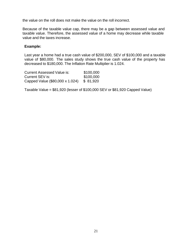the value on the roll does not make the value on the roll incorrect.

Because of the taxable value cap, there may be a gap between assessed value and taxable value. Therefore, the assessed value of a home may decrease while taxable value and the taxes increase.

#### **Example:**

Last year a home had a true cash value of \$200,000, SEV of \$100,000 and a taxable value of \$80,000. The sales study shows the true cash value of the property has decreased to \$180,000. The Inflation Rate Multiplier is 1.024.

Current Assessed Value is: \$100,000 **Current SEV is:** \$100,000 Capped Value (\$80,000 x 1.024) \$ 81,920

Taxable Value = \$81,920 (lesser of \$100,000 SEV or \$81,920 Capped Value)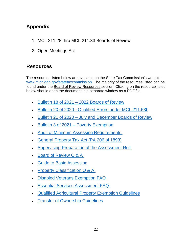# <span id="page-21-0"></span>**Appendix**

- 1. MCL 211.28 thru MCL 211.33 Boards of Review
- 2. Open Meetings Act

# **Resources**

The resources listed below are available on the State Tax Commission's website [www.michigan.gov/statetaxcommission.](http://www.michigan.gov/statetaxcommission) The majority of the resources listed can be found under the Board of Review Resources section. Clicking on the resource listed below should open the document in a separate window as a PDF file.

- Bulletin 18 [of 2021 2022 Boards of Review](https://www.michigan.gov/documents/treasury/Bulletin_18_of_2021_-_Boards_of_Review_741498_7.pdf)
- [Bulletin 20 of 2020 Qualified Errors under MCL 211.53b](https://www.michigan.gov/documents/treasury/Bulletin_20_of_2020_-_Qualified_Errors_708087_7.pdf)
- [Bulletin 21 of 2020 July and December Boards of Review](https://www.michigan.gov/documents/treasury/Bulletin_21_of_2020_-_July_and_December_Boards_of_Review_708089_7.pdf)
- [Bulletin 3 of 2021 Poverty Exemption](https://www.michigan.gov/documents/treasury/Bulletin_3_of_2021_-_Poverty_Exemption_715738_7.pdf)
- [Audit of Minimum Assessing Requirements](https://www.michigan.gov/documents/treasury/AMAR_Adopted_9-18-17_with_Hyperlinks_601914_7.pdf)
- [General Property Tax Act \(PA 206 of 1893\)](http://www.legislature.mi.gov/(S(05k5ybbo34kflqoca2jvgqvz))/mileg.aspx?page=GetObject&objectname=mcl-act-206-of-1893)
- [Supervising Preparation of the Assessment Roll](https://www.michigan.gov/documents/treasury/STC_Policy_Regarding_Supervising_Preparation_of_the_Assessment_Roll_502780_7.pdf)
- [Board of Review Q & A](https://www.michigan.gov/documents/treasury/BOR_QA_423899_7.pdf)
- [Guide to Basic Assessing](https://www.michigan.gov/documents/treasury/Guide_to_Basic_Assessing_1-16_511508_7.pdf)
- Property Classification Q & A
- [Disabled Veterans Exemption FAQ](https://www.michigan.gov/documents/taxes/Disabled_Veterans_Exemption_FAQ_082614_466519_7.pdf)
- [Essential Services Assessment FAQ](https://www.michigan.gov/documents/taxes/Essential_Services_Assessment_FAQs_511965_7.pdf)
- [Qualified Agricultural Property](https://www.michigan.gov/documents/Qualified_Agricultural_Prop_139854_7.pdf) Exemption Guidelines
- [Transfer of Ownership Guidelines](https://www.michigan.gov/documents/treasury/TransferOwnershipGuidelines_423898_7.pdf)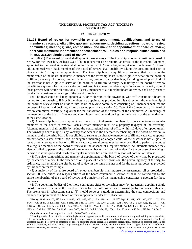#### **THE GENERAL PROPERTY TAX ACT (EXCERPT) Act 206 of 1893**

#### BOARD OF REVIEW.

**211.28 Board of review for township or city; appointment, qualifications, and terms of members; vacancy; eligibility; quorum; adjournment; deciding questions; board of review committees; meetings; size, composition, and manner of appointment of board of review; alternate members; indorsement of assessment roll; duties and responsibilities contained in MCL 211.29; single board of review.**

Sec. 28. (1) The township board shall appoint those electors of the township who will constitute a board of review for the township. At least 2/3 of the members must be property taxpayers of the township. Members appointed to the board of review shall serve for terms of 2 years beginning at noon on January 1 of each odd-numbered year. Each member of the board of review shall qualify by taking the constitutional oath of office within 10 days after appointment. The township board may fill any vacancy that occurs in the membership of the board of review. A member of the township board is not eligible to serve on the board or to fill any vacancy. A spouse, mother, father, sister, brother, son, or daughter, including an adopted child, of the assessor is not eligible to serve on the board or to fill any vacancy. A majority of the board of review constitutes a quorum for the transaction of business, but a lesser number may adjourn and a majority vote of those present will decide all questions. At least 2 members of a 3-member board of review shall be present to conduct any business or hearings of the board of review.

(2) The township board may appoint 3, 6, or 9 electors of the township, who will constitute a board of review for the township. If 6 or 9 members are appointed as provided in this subsection, the membership of the board of review must be divided into board of review committees consisting of 3 members each for the purpose of hearing and deciding issues protested pursuant to section 30. Two of the 3 members of a board of review committee constitute a quorum for the transaction of the business of the committee. All meetings of the members of the board of review and committees must be held during the same hours of the same day and at the same location.

(3) A township board may appoint not more than 2 alternate members for the same term as regular members of the board of review. Each alternate member must be a property taxpayer of the township. Alternate members shall qualify by taking the constitutional oath of office within 10 days after appointment. The township board may fill any vacancy that occurs in the alternate membership of the board of review. A member of the township board is not eligible to serve as an alternate member or to fill any vacancy. A spouse, mother, father, sister, brother, son, or daughter, including an adopted child, of the assessor is not eligible to serve as an alternate member or to fill any vacancy. An alternate member may be called to perform the duties of a regular member of the board of review in the absence of a regular member. An alternate member may also be called to perform the duties of a regular member of the board of review for the purpose of reaching a decision in issues protested in which a regular member has abstained for reasons of conflict of interest.

(4) The size, composition, and manner of appointment of the board of review of a city may be prescribed by the charter of a city. In the absence of or in place of a charter provision, the governing body of the city, by ordinance, may establish the city board of review in the same manner and for the same purposes as provided by this section for townships.

(5) A majority of the entire board of review membership shall indorse the assessment roll as provided in section 30. The duties and responsibilities of the board contained in section 29 shall be carried out by the entire membership of the board of review and a majority of the membership constitutes a quorum for those purposes.

(6) The governing bodies of 2 or more contiguous cities or townships may, by agreement, appoint a single board of review to serve as the board of review for each of those cities or townships for purposes of this act. The provisions in subsections (1) to (5) should serve as a guide in determining the size, composition, and manner of appointment of a board of review appointed under this subsection.

History: 1893, Act 206, Eff. June 12, 1893; CL 1897, 3851; Am. 1901, Act 129, Eff. Sept. 5, 1901; CL 1915, 4022; CL 1929, 3416;—Am. 1944, 1st Ex. Sess., Act 18, Imd. Eff. Feb. 19, 1944;—CL 1948, 211.28;—Am. 1964, Act 275, Eff. Aug. 28, 1964;—Am. 1968, Act 84, Imd. Eff. June 4, 1968;-Am. 1982, Act 539, Eff. Mar. 30, 1983;-Am. 1984, Act 149, Imd. Eff. June 25, 1984;--Am. 1993, Act 292, Imd. Eff. Dec. 28, 1993;—Am. 2006, Act 143, Imd. Eff. May 22, 2006;—Am. 2018, Act 660, Imd. Eff. Dec. 28, 2018.

**Compiler's note:** Enacting section 1 of Act 660 of 2018 provides:

<sup>&</sup>quot;Enacting section 1. It is the intent of the legislature to appropriate sufficient money to address start-up and training costs associated with this amendatory act, including, but not limited to, necessary costs incurred to train board of review members, increase the number of assessors qualified to serve as assessors of record, facilitate initial designated assessor designations, respond to assessor requests for technical assistance, enhance staff and programming within the state tax commission to improve technical support for assessors of record, Rendered Thursday, December 2, 2021 **Page 1** Michigan Compiled Laws Complete Through PA 118 of 2021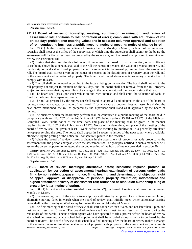and transition some assessment services to designated assessors."

**Popular name:** Act 206

#### **211.29 Board of review of township; meeting; submission, examination, and review of assessment roll; additions to roll; correction of errors; compliance with act; review of roll on tax day; prohibitions; entering valuations in separate columns; approval and adoption of roll; conducting business at public meeting; notice of meeting; notice of change in roll.**

Sec. 29. (1) On the Tuesday immediately following the first Monday in March, the board of review of each township shall meet at the office of the supervisor, at which time the supervisor shall submit to the board the assessment roll for the current year, as prepared by the supervisor, and the board shall proceed to examine and review the assessment roll.

(2) During that day, and the day following, if necessary, the board, of its own motion, or on sufficient cause being shown by a person, shall add to the roll the names of persons, the value of personal property, and the description and value of real property liable to assessment in the township, omitted from the assessment roll. The board shall correct errors in the names of persons, in the descriptions of property upon the roll, and in the assessment and valuation of property. The board shall do whatever else is necessary to make the roll comply with this act.

(3) The roll shall be reviewed according to the facts existing on the tax day. The board shall not add to the roll property not subject to taxation on the tax day, and the board shall not remove from the roll property subject to taxation on that day regardless of a change in the taxable status of the property since that day.

(4) The board shall pass upon each valuation and each interest, and shall enter the valuation of each, as fixed by the board, in a separate column.

(5) The roll as prepared by the supervisor shall stand as approved and adopted as the act of the board of review, except as changed by a vote of the board. If for any cause a quorum does not assemble during the days above mentioned, the roll as prepared by the supervisor shall stand as if approved by the board of review.

(6) The business which the board may perform shall be conducted at a public meeting of the board held in compliance with Act No. 267 of the Public Acts of 1976, being sections 15.261 to 15.275 of the Michigan Compiled Laws. Public notice of the time, date, and place of the meeting shall be given in the manner required by Act No. 267 of the Public Acts of 1976. Notice of the date, time, and place of the meeting of the board of review shall be given at least 1 week before the meeting by publication in a generally circulated newspaper serving the area. The notice shall appear in 3 successive issues of the newspaper where available; otherwise, by the posting of the notice in 5 conspicuous places in the township.

(7) When the board of review makes a change in the assessment of property or adds property to the assessment roll, the person chargeable with the assessment shall be promptly notified in such a manner as will assure the person opportunity to attend the second meeting of the board of review provided in section 30.

History: 1893, Act 206, Eff. June 12, 1893;-CL 1897, 3852;-Am. 1907, Act 326, Eff. Sept. 28, 1907;-CL 1915, 4023;-CL 1929, 3417;-Am. 1941, Act 234, Imd. Eff. June 16, 1941;-CL 1948, 211.29;-Am. 1949, Act 285, Eff. Sept. 23, 1949;-Am. 1964, Act 275, Eff. Aug. 28, 1964;-- Am. 1978, Act 124, Imd. Eff. Apr. 25, 1978.

**Popular name:** Act 206

**211.30 Board of review; meetings; alternative dates; sessions; request, protest, or application for correction of assessment; hearing; examination of persons under oath; filing by nonresident taxpayer; notice; filing, hearing, and determination of objection; right of appeal; approval or disapproval of personal property exemption; indorsement and signed statement; delivery of assessment roll; ordinance or resolution authorizing filing of protest by letter; notice of option.**

Sec. 30. (1) Except as otherwise provided in subsection (2), the board of review shall meet on the second Monday in March.

(2) The governing body of the city or township may authorize, by adoption of an ordinance or resolution, alternative starting dates in March when the board of review shall initially meet, which alternative starting dates shall be the Tuesday or Wednesday following the second Monday of March.

(3) The first meeting of the board of review shall start not earlier than 9 a.m. and not later than 3 p.m. and last for not less than 6 hours. The board of review shall also meet for not less than 6 hours during the remainder of that week. Persons or their agents who have appeared to file a protest before the board of review at a scheduled meeting or at a scheduled appointment shall be afforded an opportunity to be heard by the board of review. The board of review shall schedule a final meeting after the board of review makes a change in the assessed value or tentative taxable value of property, adds property to the assessment roll, or exempts Rendered Thursday, December 2, 2021 Page 2 Michigan Compiled Laws Complete Through PA 118 of 2021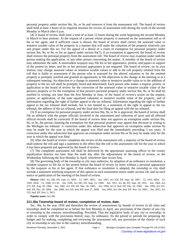personal property under section 9m, 9n, or 9o and removes it from the assessment roll. The board of review shall hold at least 3 hours of its required sessions for review of assessment rolls during the week of the second Monday in March after 6 p.m.

(4) A board of review shall meet a total of at least 12 hours during the week beginning the second Monday in March to hear protests. At the request of a person whose property is assessed on the assessment roll or of his or her agent, and if sufficient cause is shown, the board of review shall correct the assessed value or tentative taxable value of the property in a manner that will make the valuation of the property relatively just and proper under this act. For the appeal of a denial of a claim of exemption for personal property under section 9m, 9n, or 9o, or for an appeal under section 9o(7), if an exemption is approved, the board of review shall remove the personal property from the assessment roll. The board of review may examine under oath the person making the application, or any other person concerning the matter. A member of the board of review may administer the oath. A nonresident taxpayer may file his or her appearance, protest, and papers in support of the protest by letter, and his or her personal appearance is not required. The board of review, on its own motion, may change assessed values or tentative taxable values or add to the roll property omitted from the roll that is liable to assessment if the person who is assessed for the altered valuation or for the omitted property is promptly notified and granted an opportunity to file objections to the change at the meeting or at a subsequent meeting. An objection to a change in assessed value or tentative taxable value or to the addition of property to the tax roll shall be promptly heard and determined. Each person who makes a request, protest, or application to the board of review for the correction of the assessed value or tentative taxable value of the person's property or for the exemption of that person's personal property under section 9m, 9n, or 9o shall be notified in writing, not later than the first Monday in June, of the board of review's action on the request, protest, or application, of the state equalized valuation or tentative taxable value of the property, and of information regarding the right of further appeal to the tax tribunal. Information regarding the right of further appeal to the tax tribunal shall include, but is not limited to, a statement of the right to appeal to the tax tribunal, the address of the tax tribunal, and the final date for filing an appeal with the tax tribunal.

(5) If an exemption for personal property under section 9m, 9n, or 9o is approved, the board of review shall file an affidavit with the proper officials involved in the assessment and collection of taxes and all affected official records shall be corrected. If the board of review does not approve an exemption under section 9m, 9n, or 9o, the person claiming the exemption for that personal property may appeal that decision in writing to the Michigan tax tribunal. A correction under this subsection that approves an exemption under section 9o may be made for the year in which the appeal was filed and the immediately preceding 3 tax years. A correction under this subsection that approves an exemption under section 9m or 9n may be made only for the year in which the appeal was filed.

(6) After the board of review completes the review of the assessment roll, a majority of the board of review shall indorse the roll and sign a statement to the effect that the roll is the assessment roll for the year in which it has been prepared and approved by the board of review.

(7) The completed assessment roll shall be delivered by the appropriate assessing officer to the county equalization director not later than the tenth day after the adjournment of the board of review, or the Wednesday following the first Monday in April, whichever date occurs first.

(8) The governing body of the township or city may authorize, by adoption of an ordinance or resolution, a resident taxpayer to file his or her protest before the board of review by letter without a personal appearance by the taxpayer or his or her agent. If that ordinance or resolution is adopted, the township or city shall include a statement notifying taxpayers of this option in each assessment notice under section 24c and on each notice or publication of the meeting of the board of review.

History: 1893, Act 206, Eff. June 12, 1893;-CL 1897, 3853;-Am. 1907, Act 326, Eff. Sept. 28, 1907;-CL 1915, 4024;-CL 1929, 3418; CL 1948, 211.30; Am. 1949, Act 285, Eff. Sept. 23, 1949; Am. 1951, Act 48, Eff. Sept. 28, 1951; Am. 1964, Act 275, Eff. Aug. 28, 1964;—Am. 1982, Act 539, Eff. Mar. 30, 1983;—Am. 1994, Act 9, Imd. Eff. Feb. 24, 1994;—Am. 1994, Act 415, Imd. Eff. Dec. 29, 1994;—Am. 2000, Act 210, Imd. Eff. June 27, 2000;—Am. 2003, Act 194, Imd. Eff. Nov. 10, 2003;—Am. 2013, Act 153, Imd. Eff. Nov. 5, 2013.

**Popular name:** Act 206

#### **211.30a Township board of review; completion of review, date.**

Sec. 30a. In the year 1950 and thereafter the review of assessments by boards of review in all cities and townships shall be completed on or before the first Monday in April, any provisions of the charter of any city or township to the contrary notwithstanding: Provided, That the legislative body of any city or township, in order to comply with the provisions hereof, may, by ordinance, fix the period or periods for preparing the budget and for making, completing and reviewing the assessment roll, any provisions of the charter of such city or township or any law to the contrary notwithstanding.

Rendered Thursday, December 2, 2021 **Page 3** Michigan Compiled Laws Complete Through PA 118 of 2021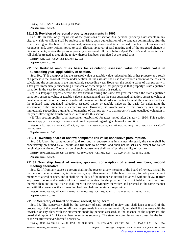**History:** Add. 1949, Act 285, Eff. Sept. 23, 1949. **Popular name:** Act 206

#### **211.30b Revision of personal property assessments in 1965.**

Sec. 30b. In 1965 only, regardless of the provisions of section 30a, personal property assessments in any city, township or village shall be subject to revision, upon authorization of the state tax commission, after the final meeting of the board of review and, where any assessment is so revised, the board of review shall reconvene and, after written notice to each affected taxpayer of said meeting and of the proposed change in his assessments, review the personal property assessment roll on or before April 15, 1965, and thereafter such roll shall be treated as though the review thereof had been completed at the usual time.

**History:** Add. 1965, Act 20, Imd. Eff. Apr. 22, 1965.

**Popular name:** Act 206

#### **211.30c Reduced amount as basis for calculating assessed value or taxable value in succeeding year; applicability of section.**

Sec. 30c. (1) If a taxpayer has the assessed value or taxable value reduced on his or her property as a result of a protest to the board of review under section 30, the assessor shall use that reduced amount as the basis for calculating the assessment in the immediately succeeding year. However, the taxable value of that property in a tax year immediately succeeding a transfer of ownership of that property is that property's state equalized valuation in the year following the transfer as calculated under this section.

(2) If a taxpayer appears before the tax tribunal during the same tax year for which the state equalized valuation, assessed value, or taxable value is appealed and has the state equalized valuation, assessed value, or taxable value of his or her property reduced pursuant to a final order of the tax tribunal, the assessor shall use the reduced state equalized valuation, assessed value, or taxable value as the basis for calculating the assessment in the immediately succeeding year. However, the taxable value of that property in a tax year immediately succeeding a transfer of ownership of that property is that property's state equalized valuation in the year following the transfer as calculated under this section.

(3) This section applies to an assessment established for taxes levied after January 1, 1994. This section does not apply to a change in assessment due to a protest regarding a claim of exemption.

**History:** Add. 1994, Act 297, Imd. Eff. July 14, 1994;—Am. 1994, Act 415, Imd. Eff. Dec. 29, 1994;—Am. 1996, Act 476, Imd. Eff. Dec. 26, 1996.

**Popular name:** Act 206

#### **211.31 Township board of review; completed roll valid; conclusive presumption.**

Sec. 31. Upon the completion of said roll and its endorsement in manner aforesaid, the same shall be conclusively presumed by all courts and tribunals to be valid, and shall not be set aside except for causes hereinafter mentioned. The omission of such indorsement shall not affect the validity of such roll.

**History:** 1893, Act 206, Eff. June 12, 1893;—CL 1897, 3854;—CL 1915, 4025;—CL 1929, 3419;—CL 1948, 211.31.

**Popular name:** Act 206

#### **211.32 Township board of review; quorum; conscription of absent members; second meeting alternative.**

Sec. 32. If from any cause a quorum shall not be present at any meeting of the board of review, it shall be the duty of the supervisor, or, in his absence, any other member of the board present, to notify each absent member to attend at once, and it shall be the duty of the member so notified to attend without delay. If from any cause the second meeting of such board of review herein provided for is not held at the time fixed therefor, then and in that case it shall meet on the next Monday thereafter, and proceed in the same manner and with like powers as if such meeting had been held as hereinbefore provided.

History: 1893, Act 206, Eff. June 12, 1893; CL 1897, 3855; CL 1915, 4026; CL 1929, 3420; CL 1948, 211.32.

**Popular name:** Act 206

#### **211.33 Secretary of board of review; record; filing; form.**

Sec. 33. The supervisor shall be the secretary of said board of review and shall keep a record of the proceedings of the board and of all the changes made in such assessment roll, and shall file the same with the township or city clerk with the statements made by persons assessed. In the absence of the supervisor, the board shall appoint 1 of its members to serve as secretary. The state tax commission may prescribe the form of the record whenever deemed necessary.

History: 1893, Act 206, Eff. June 12, 1893;-CL 1897, 3856;-CL 1915, 4027;-CL 1929, 3421;-CL 1948, 211.33;-Am. 1964,

Rendered Thursday, December 2, 2021 **Page 4** Michigan Compiled Laws Complete Through PA 118 of 2021 Courtesy of www.legislature.mi.gov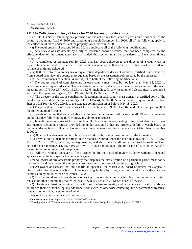Act 275, Eff. Aug. 28, 1964.

**Popular name:** Act 206

#### **211.33a Collection and levy of taxes for 2020 tax year; modifications.**

Sec. 33a. (1) Notwithstanding any provision of this act or any local charter provision or ordinance to the contrary, beginning April 6, 2020 and continuing through December 31, 2020, all of the following apply to the collection of taxes under this act for property taxes levied in 2020:

(a) The requirements of sections 30 and 30a are subject to all of the following modifications:

(*i*) Any review of assessments by a city or township board of review that has been completed by the effective date of the amendatory act that added this section must be considered to have been timely completed.

(*ii*) A completed assessment roll for 2020 that has been delivered to the director of a county tax or equalization department by the effective date of the amendatory act that added this section must be considered to have been timely delivered.

(*iii*) If the director of a county tax or equalization department does not receive a certified assessment roll from a board of review, the county must equalize based on the assessment roll prepared by the assessor.

(b) The requirements of section 34 are subject to both of the following modifications:

(*i*) The county board of commissioners in each county must meet by not later than May 15, 2020 to determine county equalized value. These meetings must be conducted in a manner consistent with the open meetings act, 1976 PA 267, MCL 15.261 to 15.275, including, for any meeting held electronically, sections 3 and 3a of the open meetings act, 1976 PA 267, MCL 15.263 and 15.263a.

(*ii*) The director of the tax or equalization department in each county must transmit a certified copy of the tabular statement described in section 5(2) of 1911 PA 44, MCL 209.5, in the manner required under section 5(2) of 1911 PA 44, MCL 209.5, to the state tax commission on or before May 18, 2020.

(c) The protest and dispute provisions set forth in sections 28, 29, 30, 30a, 34c, and 53b are subject to all of the following modifications:

(*i*) Boards of review that were not able to complete the duties set forth in section 28, 29, or 30 must meet on the Tuesday following the third Monday in July to hear protests.

(*ii*) In addition to purposes set forth in section 53b, boards of review meeting in July must also meet to hear any matters, including protests, provided for under section 30 that are properly before a March board of review under section 30. Boards of review must issue decisions on these matters by not later than September 1, 2020.

(*iii*) Boards of review meeting in July pursuant to this subdivision must do both of the following:

(A) Provide notice of their meetings in the manner required under the open meetings act, 1976 PA 267, MCL 15.261 to 15.275, including, for any meeting held electronically, all notices required by sections 3 and 3a of the open meetings act, 1976 PA 267, MCL 15.263 and 15.263a. The provision of such notice satisfies the minimum requirements of due process.

(B) Allow a resident taxpayer to file a protest before the board of review by letter without a personal appearance by the taxpayer or the taxpayer's agent.

(*iv*) An owner of any assessable property that disputes the classification of a particular parcel must notify the assessor and may protest the assigned classification to the board of review acting in July.

(*v*) An owner or assessor that did not file an appeal at the March 2020 board of review may appeal a classification decision of the board of review acting in July by filing a written petition with the state tax commission by not later than September 1, 2020.

(2) This section does not provide for a rehearing or reconsideration by a July board of review of a protest, request, or other property tax matter that was previously denied by a March board of review.

(3) The time extensions provided for in this section are automatic, and taxpayers and local officials are entitled to them without filing any additional forms with, or otherwise contacting, the department of treasury, state tax commission, or state tax tribunal.

**History:** Add. 2020, Act 297, Imd. Eff. Dec. 29, 2020.

**Compiler's note:** Enacting section 1 of Act 297 of 2020 provides:

"Enacting section 1. This amendatory act is intended to apply retroactively effective beginning April 6, 2020."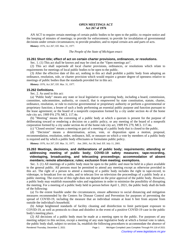#### **OPEN MEETINGS ACT Act 267 of 1976**

AN ACT to require certain meetings of certain public bodies to be open to the public; to require notice and the keeping of minutes of meetings; to provide for enforcement; to provide for invalidation of governmental decisions under certain circumstances; to provide penalties; and to repeal certain acts and parts of acts.

**History:** 1976, Act 267, Eff. Mar. 31, 1977.

#### *The People of the State of Michigan enact:*

#### **15.261 Short title; effect of act on certain charter provisions, ordinances, or resolutions.**

Sec. 1. (1) This act shall be known and may be cited as the "Open meetings act".

(2) This act shall supersede all local charter provisions, ordinances, or resolutions which relate to requirements for meetings of local public bodies to be open to the public.

(3) After the effective date of this act, nothing in this act shall prohibit a public body from adopting an ordinance, resolution, rule, or charter provision which would require a greater degree of openness relative to meetings of public bodies than the standards provided for in this act.

**History:** 1976, Act 267, Eff. Mar. 31, 1977.

#### **15.262 Definitions.**

Sec. 2. As used in this act:

(a) "Public body" means any state or local legislative or governing body, including a board, commission, committee, subcommittee, authority, or council, that is empowered by state constitution, statute, charter, ordinance, resolution, or rule to exercise governmental or proprietary authority or perform a governmental or proprietary function; a lessee of such a body performing an essential public purpose and function pursuant to the lease agreement; or the board of a nonprofit corporation formed by a city under section 4o of the home rule city act, 1909 PA 279, MCL 117.4o.

(b) "Meeting" means the convening of a public body at which a quorum is present for the purpose of deliberating toward or rendering a decision on a public policy, or any meeting of the board of a nonprofit corporation formed by a city under section 4o of the home rule city act, 1909 PA 279, MCL 117.4o.

(c) "Closed session" means a meeting or part of a meeting of a public body that is closed to the public.

(d) "Decision" means a determination, action, vote, or disposition upon a motion, proposal, recommendation, resolution, order, ordinance, bill, or measure on which a vote by members of a public body is required and by which a public body effectuates or formulates public policy.

History: 1976, Act 267, Eff. Mar. 31, 1977;-- Am. 2001, Act 38, Imd. Eff. July 11, 2001.

#### **15.263 Meetings, decisions, and deliberations of public body; requirements; attending or addressing meeting of public body; COVID-19 safety measures; tape-recording, videotaping, broadcasting, and telecasting proceedings; accommodation of absent members; remote attendance; rules; exclusion from meeting; exemptions.**

Sec. 3. (1) All meetings of a public body must be open to the public and must be held in a place available to the general public. All persons must be permitted to attend any meeting except as otherwise provided in this act. The right of a person to attend a meeting of a public body includes the right to tape-record, to videotape, to broadcast live on radio, and to telecast live on television the proceedings of a public body at a public meeting. The exercise of this right does not depend on the prior approval of the public body. However, a public body may establish reasonable rules and regulations in order to minimize the possibility of disrupting the meeting. For a meeting of a public body held in person before April 1, 2021, the public body shall do both of the following:

(a) To the extent feasible under the circumstances, ensure adherence to social distancing and mitigation measures recommended by the Centers for Disease Control and Prevention for purposes of preventing the spread of COVID-19, including the measure that an individual remain at least 6 feet from anyone from outside the individual's household.

(b) Adopt heightened standards of facility cleaning and disinfection to limit participant exposure to COVID-19, as well as protocols to clean and disinfect in the event of a positive COVID-19 case in the public body's meeting place.

(2) All decisions of a public body must be made at a meeting open to the public. For purposes of any meeting subject to this section, except a meeting of any state legislative body at which a formal vote is taken, the public body shall, subject to section 3a, establish the following procedures to accommodate the absence of Rendered Thursday, December 2, 2021 Page 1 Michigan Compiled Laws Complete Through PA 118 of 2021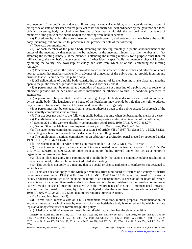any member of the public body due to military duty, a medical condition, or a statewide or local state of emergency or state of disaster declared pursuant to law or charter or local ordinance by the governor or a local official, governing body, or chief administrative officer that would risk the personal health or safety of members of the public or the public body if the meeting were held in person:

(a) Procedures by which the absent member may participate in, and vote on, business before the public body, including, but not limited to, procedures that provide for both of the following:

(*i*) Two-way communication.

(*ii*) For each member of the public body attending the meeting remotely, a public announcement at the outset of the meeting by that member, to be included in the meeting minutes, that the member is in fact attending the meeting remotely. If the member is attending the meeting remotely for a purpose other than for military duty, the member's announcement must further identify specifically the member's physical location by stating the county, city, township, or village and state from which he or she is attending the meeting remotely.

(b) Procedures by which the public is provided notice of the absence of the member and information about how to contact that member sufficiently in advance of a meeting of the public body to provide input on any business that will come before the public body.

(3) All deliberations of a public body constituting a quorum of its members must take place at a meeting open to the public except as provided in this section and sections 7 and 8.

(4) A person must not be required as a condition of attendance at a meeting of a public body to register or otherwise provide his or her name or other information or otherwise to fulfill a condition precedent to attendance.

(5) A person must be permitted to address a meeting of a public body under rules established and recorded by the public body. The legislature or a house of the legislature may provide by rule that the right to address may be limited to prescribed times at hearings and committee meetings only.

(6) A person must not be excluded from a meeting otherwise open to the public except for a breach of the peace actually committed at the meeting.

(7) This act does not apply to the following public bodies, but only when deliberating the merits of a case:

(a) The Michigan compensation appellate commission operating as described in either of the following:

(*i*) Section 274 of the worker's disability compensation act of 1969, 1969 PA 317, MCL 418.274.

(*ii*) Section 34 of the Michigan employment security act, 1936 (Ex Sess) PA 1, 421.34.

(b) The state tenure commission created in section 1 of article VII of 1937 (Ex Sess) PA 4, MCL 38.131, when acting as a board of review from the decision of a controlling board.

(c) The employment relations commission or an arbitrator or arbitration panel created or appointed under 1939 PA 176, MCL 423.1 to 423.30.

(d) The Michigan public service commission created under 1939 PA 3, MCL 460.1 to 460.11.

(8) This act does not apply to an association of insurers created under the insurance code of 1956, 1956 PA 218, MCL 500.100 to 500.8302, or other association or facility formed under that act as a nonprofit organization of insurer members.

(9) This act does not apply to a committee of a public body that adopts a nonpolicymaking resolution of tribute or memorial, if the resolution is not adopted at a meeting.

(10) This act does not apply to a meeting that is a social or chance gathering or conference not designed to avoid this act.

(11) This act does not apply to the Michigan veterans' trust fund board of trustees or a county or district committee created under 1946 (1st Ex Sess) PA 9, MCL 35.602 to 35.610, when the board of trustees or county or district committee is deliberating the merits of an emergent need. A decision of the board of trustees or county or district committee made under this subsection must be reconsidered by the board or committee at its next regular or special meeting consistent with the requirements of this act. "Emergent need" means a situation that the board of trustees, by rules promulgated under the administrative procedures act of 1969, 1969 PA 306, MCL 24.201 to 24.328, determines requires immediate action.

(12) As used in subsection (2):

(a) "Formal vote" means a vote on a bill, amendment, resolution, motion, proposal, recommendation, or any other measure on which a vote by members of a state legislative body is required and by which the state legislative body effectuates or formulates public policy.

(b) "Medical condition" means an illness, injury, disability, or other health-related condition.

History: 1976, Act 267, Eff. Mar. 31, 1977;--Am. 1981, Act 161, Imd. Eff. Nov. 30, 1981;--Am. 1986, Act 269, Imd. Eff. Dec. 19, 1986;-Am. 1988, Act 158, Imd. Eff. June 14, 1988;-Am. 1988, Act 278, Imd. Eff. July 27, 1988;-Am. 2016, Act 504, Eff. Apr. 9, 2017; Am. 2018, Act 485, Eff. Mar. 29, 2019; Am. 2020, Act 228, Imd. Eff. Oct. 16, 2020; Am. 2020, Act 254, Imd. Eff. Dec. 22, 2020.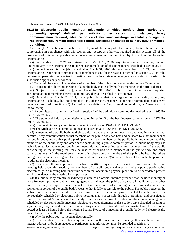**Administrative rules:** R 35.621 of the Michigan Administrative Code.

**15.263a Electronic public meetings; telephonic or video conferencing; "agricultural commodity group" defined; permissibility under certain circumstances; 2-way communication required; advance notice of electronic meetings; availability of agenda; registration requirement prohibited; remote participation limited to military duty or medical condition.**

Sec. 3a. (1) A meeting of a public body held, in whole or in part, electronically by telephonic or video conferencing in compliance with this section and, except as otherwise required in this section, all of the provisions of this act applicable to a nonelectronic meeting, is permitted by this act in the following circumstances:

(a) Before March 31, 2021 and retroactive to March 18, 2020, any circumstances, including, but not limited to, any of the circumstances requiring accommodation of absent members described in section 3(2).

(b) Subject to subdivision (d), on and after March 31, 2021 through December 31, 2021, only those circumstances requiring accommodation of members absent for the reasons described in section 3(2). For the purpose of permitting an electronic meeting due to a local state of emergency or state of disaster, this subdivision applies only as follows:

(*i*) To permit the electronic attendance of a member of the public body who resides in the affected area.

(*ii*) To permit the electronic meeting of a public body that usually holds its meetings in the affected area.

(c) Subject to subdivision (d), after December 31, 2021, only in the circumstances requiring accommodation of members absent due to military duty as described in section 3(2).

(d) On and after March 31, 2021, for a public body that is an agricultural commodity group, any circumstances, including, but not limited to, any of the circumstances requiring accommodation of absent members described in section 3(2). As used in this subdivision, "agricultural commodity group" means any of the following:

(*i*) A committee as that term is defined in section 2 of the agricultural commodities marketing act, 1965 PA 232, MCL 290.652.

(*ii*) The state beef industry commission created in section 3 of the beef industry commission act, 1972 PA 291, MCL 287.603.

(*iii*) The potato industry commission created in section 2 of 1970 PA 29, MCL 290.422.

(*iv*) The Michigan bean commission created in section 3 of 1965 PA 114, MCL 290.553.

(2) A meeting of a public body held electronically under this section must be conducted in a manner that permits 2-way communication so that members of the public body can hear and be heard by other members of the public body, and so that public participants can hear members of the public body and can be heard by members of the public body and other participants during a public comment period. A public body may use technology to facilitate typed public comments during the meeting submitted by members of the public participating in the meeting that may be read to or shared with members of the public body and other participants to satisfy the requirement under this subsection that members of the public be heard by others during the electronic meeting and the requirement under section 3(5) that members of the public be permitted to address the electronic meeting.

(3) Except as otherwise provided in subsection (8), a physical place is not required for an electronic meeting held under this section, and members of a public body and members of the public participating electronically in a meeting held under this section that occurs in a physical place are to be considered present and in attendance at the meeting for all purposes.

(4) If a public body directly or indirectly maintains an official internet presence that includes monthly or more frequent updates of public meeting agendas or minutes, the public body shall, in addition to any other notices that may be required under this act, post advance notice of a meeting held electronically under this section on a portion of the public body's website that is fully accessible to the public. The public notice on the website must be included on either the homepage or on a separate webpage dedicated to public notices for nonregularly scheduled or electronic public meetings that is accessible through a prominent and conspicuous link on the website's homepage that clearly describes its purpose for public notification of nonregularly scheduled or electronic public meetings. Subject to the requirements of this section, any scheduled meeting of a public body may be held as an electronic meeting under this section if a notice consistent with this section is posted at least 18 hours before the meeting begins. Notice of a meeting of a public body held electronically must clearly explain all of the following:

(a) Why the public body is meeting electronically.

(b) How members of the public may participate in the meeting electronically. If a telephone number, internet address, or both are needed to participate, that information must be provided specifically.

Rendered Thursday, December 2, 2021 **Page 3** Michigan Compiled Laws Complete Through PA 118 of 2021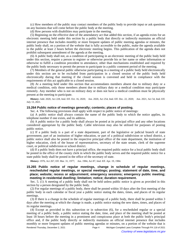(c) How members of the public may contact members of the public body to provide input or ask questions on any business that will come before the public body at the meeting.

(d) How persons with disabilities may participate in the meeting.

(5) Beginning on the effective date of the amendatory act that added this section, if an agenda exists for an electronic meeting held under this section by a public body that directly or indirectly maintains an official internet presence that includes monthly or more frequent updates of public meeting agendas or minutes, the public body shall, on a portion of the website that is fully accessible to the public, make the agenda available to the public at least 2 hours before the electronic meeting begins. This publication of the agenda does not prohibit subsequent amendment of the agenda at the meeting.

(6) A public body shall not, as a condition of participating in an electronic meeting of the public body held under this section, require a person to register or otherwise provide his or her name or other information or otherwise to fulfill a condition precedent to attendance, other than mechanisms established and required by the public body necessary to permit the person to participate in a public comment period of the meeting.

(7) Members of the general public otherwise participating in a meeting of a public body held electronically under this section are to be excluded from participation in a closed session of the public body held electronically during that meeting if the closed session is convened and held in compliance with the requirements of this act applicable to a closed session.

(8) At a meeting held under this section that accommodates members absent due to military duty or a medical condition, only those members absent due to military duty or a medical condition may participate remotely. Any member who is not on military duty or does not have a medical condition must be physically present at the meeting to participate.

History: Add. 2020, Act 228, Imd. Eff. Oct. 16, 2020;—Am. 2020, Act 254, Imd. Eff. Dec. 22, 2020;—Am. 2021, Act 54, Imd. Eff. July 13, 2021.

#### **15.264 Public notice of meetings generally; contents; places of posting.**

Sec. 4. The following provisions shall apply with respect to public notice of meetings:

(a) A public notice shall always contain the name of the public body to which the notice applies, its telephone number if one exists, and its address.

(b) A public notice for a public body shall always be posted at its principal office and any other locations considered appropriate by the public body. Cable television may also be utilized for purposes of posting public notice.

(c) If a public body is a part of a state department, part of the legislative or judicial branch of state government, part of an institution of higher education, or part of a political subdivision or school district, a public notice shall also be posted in the respective principal office of the state department, the institution of higher education, clerk of the house of representatives, secretary of the state senate, clerk of the supreme court, or political subdivision or school district.

(d) If a public body does not have a principal office, the required public notice for a local public body shall be posted in the office of the county clerk in which the public body serves and the required public notice for a state public body shall be posted in the office of the secretary of state.

History: 1976, Act 267, Eff. Mar. 31, 1977;-- Am. 1984, Act 87, Imd. Eff. Apr. 19, 1984.

#### **15.265 Public notice of regular meetings, change in schedule of regular meetings, rescheduled regular meetings, or special meetings; posting; statement of date, time, and place; website; recess or adjournment; emergency sessions; emergency public meeting; meeting in residential dwelling; limitation; notice; duration requirement.**

Sec. 5. (1) A meeting of a public body shall not be held unless public notice is given as provided in this section by a person designated by the public body.

(2) For regular meetings of a public body, there shall be posted within 10 days after the first meeting of the public body in each calendar or fiscal year a public notice stating the dates, times, and places of its regular meetings.

(3) If there is a change in the schedule of regular meetings of a public body, there shall be posted within 3 days after the meeting at which the change is made, a public notice stating the new dates, times, and places of its regular meetings.

(4) Except as provided in this subsection or in subsection (6), for a rescheduled regular or a special meeting of a public body, a public notice stating the date, time, and place of the meeting shall be posted at least 18 hours before the meeting in a prominent and conspicuous place at both the public body's principal office and, if the public body directly or indirectly maintains an official internet presence that includes monthly or more frequent updates of public meeting agendas or minutes, on a portion of the website that is Rendered Thursday, December 2, 2021 **Page 4** Michigan Compiled Laws Complete Through PA 118 of 2021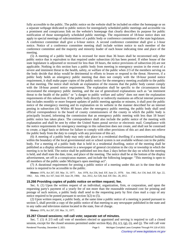fully accessible to the public. The public notice on the website shall be included on either the homepage or on a separate webpage dedicated to public notices for nonregularly scheduled public meetings and accessible via a prominent and conspicuous link on the website's homepage that clearly describes its purpose for public notification of those nonregularly scheduled public meetings. The requirement of 18-hour notice does not apply to special meetings of subcommittees of a public body or conference committees of the state legislature. A conference committee shall give a 6-hour notice. A second conference committee shall give a 1-hour notice. Notice of a conference committee meeting shall include written notice to each member of the conference committee and the majority and minority leader of each house indicating time and place of the meeting.

(5) A meeting of a public body that is recessed for more than 36 hours shall be reconvened only after public notice that is equivalent to that required under subsection (4) has been posted. If either house of the state legislature is adjourned or recessed for less than 18 hours, the notice provisions of subsection (4) are not applicable. Nothing in this section bars a public body from meeting in emergency session in the event of a severe and imminent threat to the health, safety, or welfare of the public when 2/3 of the members serving on the body decide that delay would be detrimental to efforts to lessen or respond to the threat. However, if a public body holds an emergency public meeting that does not comply with the 18-hour posted notice requirement, it shall make paper copies of the public notice for the emergency meeting available to the public at that meeting. The notice shall include an explanation of the reasons that the public body cannot comply with the 18-hour posted notice requirement. The explanation shall be specific to the circumstances that necessitated the emergency public meeting, and the use of generalized explanations such as "an imminent threat to the health of the public" or "a danger to public welfare and safety" does not meet the explanation requirements of this subsection. If the public body directly or indirectly maintains an official internet presence that includes monthly or more frequent updates of public meeting agendas or minutes, it shall post the public notice of the emergency meeting and its explanation on its website in the manner described for an internet posting in subsection (4). Within 48 hours after the emergency public meeting, the public body shall send official correspondence to the board of county commissioners of the county in which the public body is principally located, informing the commission that an emergency public meeting with less than 18 hours' public notice has taken place. The correspondence shall also include the public notice of the meeting with explanation and shall be sent by either the United States postal service or electronic mail. Compliance with the notice requirements for emergency meetings in this subsection does not create, and shall not be construed to create, a legal basis or defense for failure to comply with other provisions of this act and does not relieve the public body from the duty to comply with any provision of this act.

(6) A meeting of a public body may only take place in a residential dwelling if a nonresidential building within the boundary of the local governmental unit or school system is not available without cost to the public body. For a meeting of a public body that is held in a residential dwelling, notice of the meeting shall be published as a display advertisement in a newspaper of general circulation in the city or township in which the meeting is to be held. The notice shall be published not less than 2 days before the day on which the meeting is held, and shall state the date, time, and place of the meeting. The notice shall be at the bottom of the display advertisement, set off in a conspicuous manner, and include the following language: "This meeting is open to all members of the public under Michigan's open meetings act".

(7) A durational requirement for posting a public notice of a meeting under this act is the time that the notice is required to be accessible to the public.

History: 1976, Act 267, Eff. Mar. 31, 1977;--Am. 1978, Act 256, Imd. Eff. June 21, 1978;--Am. 1982, Act 134, Imd. Eff. Apr. 22, 1982; Am. 1984, Act 167, Imd. Eff. June 29, 1984; Am. 2012, Act 528, Imd. Eff. Dec. 28, 2012.

#### **15.266 Providing copies of public notice on written request; fee.**

Sec. 6. (1) Upon the written request of an individual, organization, firm, or corporation, and upon the requesting party's payment of a yearly fee of not more than the reasonable estimated cost for printing and postage of such notices, a public body shall send to the requesting party by first class mail a copy of any notice required to be posted pursuant to section 5(2) to (5).

(2) Upon written request, a public body, at the same time a public notice of a meeting is posted pursuant to section 5, shall provide a copy of the public notice of that meeting to any newspaper published in the state and to any radio and television station located in the state, free of charge.

**History:** 1976, Act 267, Eff. Mar. 31, 1977.

#### **15.267 Closed sessions; roll call vote; separate set of minutes.**

Sec. 7. (1) A 2/3 roll call vote of members elected or appointed and serving is required to call a closed session, except for the closed sessions permitted under section  $8(a)$ ,  $(b)$ ,  $(c)$ ,  $(g)$ ,  $(i)$ , and  $(i)$ . The roll call vote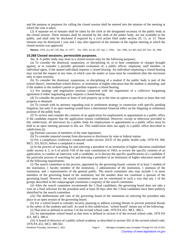and the purpose or purposes for calling the closed session shall be entered into the minutes of the meeting at which the vote is taken.

(2) A separate set of minutes shall be taken by the clerk or the designated secretary of the public body at the closed session. These minutes shall be retained by the clerk of the public body, are not available to the public, and shall only be disclosed if required by a civil action filed under section 10, 11, or 13. These minutes may be destroyed 1 year and 1 day after approval of the minutes of the regular meeting at which the closed session was approved.

History: 1976, Act 267, Eff. Mar. 31, 1977;—Am. 1993, Act 81, Eff. Apr. 1, 1994;—Am. 1996, Act 464, Imd. Eff. Dec. 26, 1996.

#### **15.268 Closed sessions; permissible purposes.**

Sec. 8. A public body may meet in a closed session only for the following purposes:

(a) To consider the dismissal, suspension, or disciplining of, or to hear complaints or charges brought against, or to consider a periodic personnel evaluation of, a public officer, employee, staff member, or individual agent, if the named individual requests a closed hearing. An individual requesting a closed hearing may rescind the request at any time, in which case the matter at issue must be considered after the rescission only in open sessions.

(b) To consider the dismissal, suspension, or disciplining of a student if the public body is part of the school district, intermediate school district, or institution of higher education that the student is attending, and if the student or the student's parent or guardian requests a closed hearing.

(c) For strategy and negotiation sessions connected with the negotiation of a collective bargaining agreement if either negotiating party requests a closed hearing.

(d) To consider the purchase or lease of real property up to the time an option to purchase or lease that real property is obtained.

(e) To consult with its attorney regarding trial or settlement strategy in connection with specific pending litigation, but only if an open meeting would have a detrimental financial effect on the litigating or settlement position of the public body.

(f) To review and consider the contents of an application for employment or appointment to a public office if the candidate requests that the application remain confidential. However, except as otherwise provided in this subdivision, all interviews by a public body for employment or appointment to a public office must be held in an open meeting pursuant to this act. This subdivision does not apply to a public office described in subdivision (j).

(g) Partisan caucuses of members of the state legislature.

(h) To consider material exempt from discussion or disclosure by state or federal statute.

(i) For a compliance conference conducted under section 16231 of the public health code, 1978 PA 368, MCL 333.16231, before a complaint is issued.

(j) In the process of searching for and selecting a president of an institution of higher education established under section 4, 5, or 6 of article VIII of the state constitution of 1963, to review the specific contents of an application, to conduct an interview with a candidate, or to discuss the specific qualifications of a candidate if the particular process of searching for and selecting a president of an institution of higher education meets all of the following requirements:

(*i*) The search committee in the process, appointed by the governing board, consists of at least 1 student of the institution, 1 faculty member of the institution, 1 administrator of the institution, 1 alumnus of the institution, and 1 representative of the general public. The search committee also may include 1 or more members of the governing board of the institution, but the number does not constitute a quorum of the governing board. However, the search committee must not be constituted in such a way that any 1 of the groups described in this subparagraph constitutes a majority of the search committee.

(*ii*) After the search committee recommends the 5 final candidates, the governing board does not take a vote on a final selection for the president until at least 30 days after the 5 final candidates have been publicly identified by the search committee.

(*iii*) The deliberations and vote of the governing board of the institution on selecting the president take place in an open session of the governing board.

(k) For a school board to consider security planning to address existing threats or prevent potential threats to the safety of the students and staff. As used in this subdivision, "school board" means any of the following:

(*i*) That term as defined in section 3 of the revised school code, 1976 PA 451, MCL 380.3.

(*ii*) An intermediate school board as that term is defined in section 4 of the revised school code, 1976 PA 451, MCL 380.4.

(*iii*) A board of directors of a public school academy as described in section 502 of the revised school code, 1976 PA 451, MCL 380.502.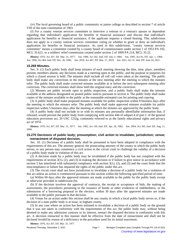(*iv*) The local governing board of a public community or junior college as described in section 7 of article VIII of the state constitution of 1963.

(*l*) For a county veteran services committee to interview a veteran or a veteran's spouse or dependent regarding that individual's application for benefits or financial assistance and discuss that individual's application for benefits or financial assistance, if the applicant requests a closed hearing. This subdivision does not apply to a county veteran services committee voting on whether to grant or deny an individual's application for benefits or financial assistance. As used in this subdivision, "county veteran services committee" means a committee created by a county board of commissioners under section 1 of 1953 PA 192, MCL 35.621, or a soldiers' relief commission created under section 2 of 1899 PA 214, MCL 35.22.

History: 1976, Act 267, Eff. Mar. 31, 1977;--Am. 1984, Act 202, Imd. Eff. July 3, 1984;--Am. 1993, Act 81, Eff. Apr. 1, 1994;--Am. 1996, Act 464, Imd. Eff. Dec. 26, 1996;—Am. 2018, Act 467, Eff. Mar. 27, 2019;—Am. 2021, Act 31, Imd. Eff. June 24, 2021.

#### **15.269 Minutes.**

Sec. 9. (1) Each public body shall keep minutes of each meeting showing the date, time, place, members present, members absent, any decisions made at a meeting open to the public, and the purpose or purposes for which a closed session is held. The minutes shall include all roll call votes taken at the meeting. The public body shall make any corrections in the minutes at the next meeting after the meeting to which the minutes refer. The public body shall make corrected minutes available at or before the next subsequent meeting after correction. The corrected minutes shall show both the original entry and the correction.

(2) Minutes are public records open to public inspection, and a public body shall make the minutes available at the address designated on posted public notices pursuant to section 4. The public body shall make copies of the minutes available to the public at the reasonable estimated cost for printing and copying.

(3) A public body shall make proposed minutes available for public inspection within 8 business days after the meeting to which the minutes refer. The public body shall make approved minutes available for public inspection within 5 business days after the meeting at which the minutes are approved by the public body.

(4) A public body shall not include in or with its minutes any personally identifiable information that, if released, would prevent the public body from complying with section 444 of subpart 4 of part C of the general education provisions act, 20 USC 1232g, commonly referred to as the family educational rights and privacy act of 1974.

History: 1976, Act 267, Eff. Mar. 31, 1977;--Am. 1982, Act 130, Imd. Eff. Apr. 20, 1982;--Am. 2004, Act 305, Imd. Eff. Aug. 11, 2004.

#### **15.270 Decisions of public body; presumption; civil action to invalidate; jurisdiction; venue; reenactment of disputed decision.**

Sec. 10. (1) Decisions of a public body shall be presumed to have been adopted in compliance with the requirements of this act. The attorney general, the prosecuting attorney of the county in which the public body serves, or any person may commence a civil action in the circuit court to challenge the validity of a decision of a public body made in violation of this act.

(2) A decision made by a public body may be invalidated if the public body has not complied with the requirements of section  $3(1)$ ,  $(2)$ , and  $(3)$  in making the decision or if failure to give notice in accordance with section 5 has interfered with substantial compliance with section  $3(1)$ ,  $(2)$ , and  $(3)$  and the court finds that the noncompliance or failure has impaired the rights of the public under this act.

(3) The circuit court shall not have jurisdiction to invalidate a decision of a public body for a violation of this act unless an action is commenced pursuant to this section within the following specified period of time:

(a) Within 60 days after the approved minutes are made available to the public by the public body except as otherwise provided in subdivision (b).

(b) If the decision involves the approval of contracts, the receipt or acceptance of bids, the making of assessments, the procedures pertaining to the issuance of bonds or other evidences of indebtedness, or the submission of a borrowing proposal to the electors, within 30 days after the approved minutes are made available to the public pursuant to that decision.

(4) Venue for an action under this section shall be any county in which a local public body serves or, if the decision of a state public body is at issue, in Ingham county.

(5) In any case where an action has been initiated to invalidate a decision of a public body on the ground that it was not taken in conformity with the requirements of this act, the public body may, without being deemed to make any admission contrary to its interest, reenact the disputed decision in conformity with this act. A decision reenacted in this manner shall be effective from the date of reenactment and shall not be declared invalid by reason of a deficiency in the procedure used for its initial enactment.

**History:** 1976, Act 267, Eff. Mar. 31, 1977.

| Rendered Thursday, December 2, 2021 | Page 7 | Michigan Compiled Laws Complete Through PA 118 of 2021 |
|-------------------------------------|--------|--------------------------------------------------------|
| $\odot$                             |        | Courtesy of www.legislature.mi.gov                     |